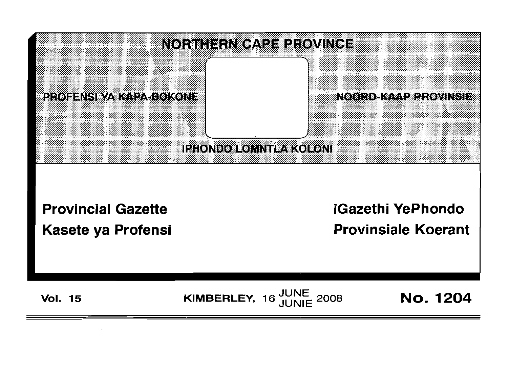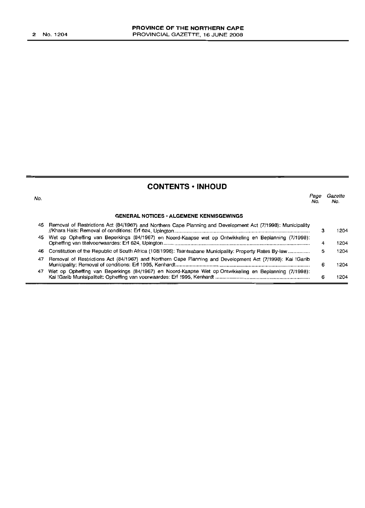# **CONTENTS • INHOUD**

| No. |                                                                                                             | Page<br>No. | Gazette<br>No. |
|-----|-------------------------------------------------------------------------------------------------------------|-------------|----------------|
|     | <b>GENERAL NOTICES • ALGEMENE KENNISGEWINGS</b>                                                             |             |                |
| 45. | Removal of Restrictions Act (84/1967) and Northern Cape Planning and Development Act (7/1998): Municipality | з           | 1204           |
|     | 45 Wet op Opheffing van Beperkings (84/1967) en Noord-Kaapse wet op Ontwikkeling en Beplanning (7/1998):    | 4           | 1204           |
| 46  | Constitution of the Republic of South Africa (108/1996): Tsantsabane Municipality: Property Rates By-law    | 5           | 1204           |
| 47  | Removal of Restrictions Act (84/1967) and Northern Cape Planning and Development Act (7/1998): Kai !Garib   | 6           | 1204           |
| 47  | Wet op Opheffing van Beperkings (84/1967) en Noord-Kaapse Wet op Ontwikkeling en Beplanning (7/1998):       | 6           | 1204           |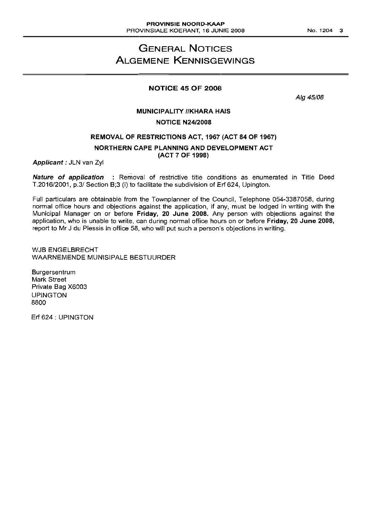# **GENERAL NOTICES ALGEMENE KENNISGEWINGS**

# **NOTICE 45 OF 2008**

Alg 45/08

# **MUNICIPALITY IIKHARA HAIS NOTICE N24/2008**

# **REMOVAL OF RESTRICTIONS ACT, 1967 (ACT 84 OF 1967)**

### **NORTHERN CAPE PLANNING AND DEVELOPMENT ACT (ACT 7 OF 1998)**

**Applicant:** JLN van Zyl

**Nature of application** : Removal of restrictive title conditions as enumerated in Title Deed T.2016/2001, p.3/ Section B;3 (i) to facilitate the subdivision of Erf 624, Upington.

Full particulars are obtainable from the Townplanner of the Council, Telephone 054-3387058, during normal office hours and objections against the application, if any, must be lodged in writing with the Municipal Manager on or before **Friday, 20 June 2008.** Any person with objections against the application, who is unable to write, can during normal office hours on or before **Friday, 20 June 2008,** report to Mr J du Plessis in office 58, who will put such a person's objections in writing.

WJB ENGELBRECHT WAARNEMENDE MUNISIPALE BESTUURDER

**Burgersentrum** Mark Street Private Bag X6003 UPINGTON 8800

Erf 624 : UPINGTON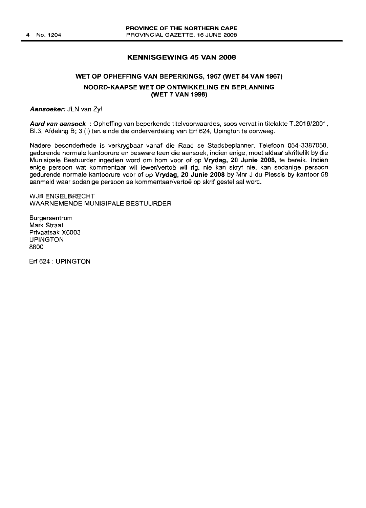# **KENNISGEWING 45 VAN 2008**

# **WET OP OPHEFFING VAN BEPERKINGS, 1967 (WET 84 VAN 1967) NOORD-KAAPSE WET OP ONTWIKKELING EN BEPLANNING (WET 7 VAN 1998)**

Aansoeker: JLN van Zyl

**Aard van aansoek** : Opheffing van beperkende titelvoorwaardes, 5005 vervat in tltelakte T.2016/2001, B1.3, Afdeling B; 3 (i) ten einde die onderverdeling van **Erf** 624, Upington te oorweeg.

Nadere besonderhede is verkrygbaar vanaf die Raad se Stadsbeplanner, Telefoon 054-3387058, gedurende normale kantoorure en besware teen die aansoek, indien enige, moet aldaar skriftelik by die Munisipale Bestuurder ingedien word om hom voor of op **Vrydag, 20 Junie 2008,** te bereik. Indien enige persoon wat kommentaar wil lewer/vertoë wil rig, nie kan skryf nie, kan sodanige persoon gedurende normale kantoorure voor of op **Vrydag, 20 Junie 2008** by Mnr J du Plessis by kantoor 58 aanmeld waar sodanige persoon se kommentaar/vertoe op skrif gestel sal word.

WJB ENGELBRECHT WAARNEMENDE MUNISIPALE BESTUURDER

Burgersentrum Mark Straat Privaatsak X6003 UPINGTON 8800

Erf 624: UPINGTON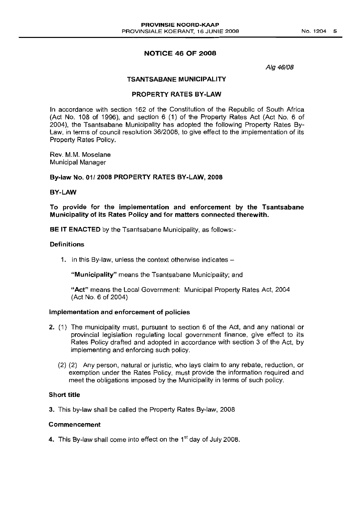# **NOTICE 46 OF 2008**

Alg 46/08

### TSANTSABANE MUNICIPALITY

# PROPERTY RATES BY-LAW

In accordance with section 162 of the Constitution of the Republic of South Africa (Act No. 108 of 1996), and section  $6(1)$  of the Property Rates Act (Act No.  $6$  of 2004), the Tsantsabane Municipality has adopted the following Property Rates By-Law, in terms of council resolution 36/2008, to give effect to the implementation of its Property Rates Policy.

Rev. M.M. Moselane Municipal Manager

#### By-law No. 01/2008 PROPERTY RATES BY-LAW, 2008

# BY-LAW

To provide for the implementation and enforcement by the Tsantsabane Municipality of its Rates Policy and for matters connected therewith.

BE IT ENACTED by the Tsantsabane Municipality, as follows:-

# **Definitions**

1. In this By-law, unless the context otherwise indicates -

"Municipality" means the Tsantsabane Municipality; and

"Act" means the Local Government: Municipal Property Rates Act, 2004 (Act NO.6 of 2004)

## Implementation and enforcement of policies

- 2. (1) The municipality must, pursuant to section 6 of the Act, and any national or provincial legislation regulating local government finance, give effect to its Rates Policy drafted and adopted in accordance with section 3 of the Act, by implementing and enforcing such policy.
	- (2) (2) Any person, natural or juristic, who lays claim to any rebate, reduction, or exemption under the Rates Policy, must provide the information required and meet the obligations imposed by the Municipality in terms of such policy.

### Short title

3. This by-law shall be called the Property Rates By-law, 2008

#### Commencement

4. This By-law shall come into effect on the  $1<sup>st</sup>$  day of July 2008.